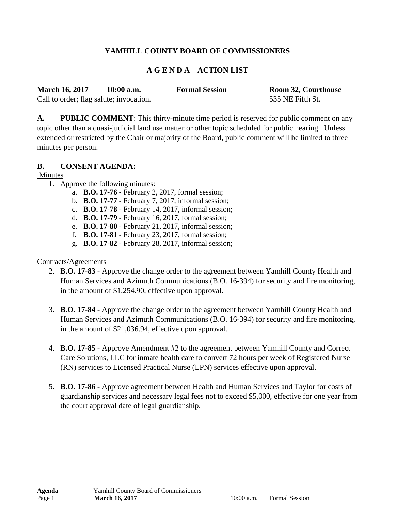#### **YAMHILL COUNTY BOARD OF COMMISSIONERS**

#### **A G E N D A – ACTION LIST**

| <b>March 16, 2017</b> | $10:00$ a.m. | <b>Formal Session</b> | Room 32, Courthouse |
|-----------------------|--------------|-----------------------|---------------------|
|                       |              |                       |                     |

Call to order; flag salute; invocation. 535 NE Fifth St.

**A. PUBLIC COMMENT**: This thirty-minute time period is reserved for public comment on any

topic other than a quasi-judicial land use matter or other topic scheduled for public hearing. Unless extended or restricted by the Chair or majority of the Board, public comment will be limited to three minutes per person.

#### **B. CONSENT AGENDA:**

Minutes

- 1. Approve the following minutes:
	- a. **B.O. 17-76 -** February 2, 2017, formal session;
	- b. **B.O. 17-77 -** February 7, 2017, informal session;
	- c. **B.O. 17-78 -** February 14, 2017, informal session;
	- d. **B.O. 17-79 -** February 16, 2017, formal session;
	- e. **B.O. 17-80 -** February 21, 2017, informal session;
	- f. **B.O. 17-81 -** February 23, 2017, formal session;
	- g. **B.O. 17-82 -** February 28, 2017, informal session;

#### Contracts/Agreements

- 2. **B.O. 17-83 -** Approve the change order to the agreement between Yamhill County Health and Human Services and Azimuth Communications (B.O. 16-394) for security and fire monitoring, in the amount of \$1,254.90, effective upon approval.
- 3. **B.O. 17-84 -** Approve the change order to the agreement between Yamhill County Health and Human Services and Azimuth Communications (B.O. 16-394) for security and fire monitoring, in the amount of \$21,036.94, effective upon approval.
- 4. **B.O. 17-85 -** Approve Amendment #2 to the agreement between Yamhill County and Correct Care Solutions, LLC for inmate health care to convert 72 hours per week of Registered Nurse (RN) services to Licensed Practical Nurse (LPN) services effective upon approval.
- 5. **B.O. 17-86 -** Approve agreement between Health and Human Services and Taylor for costs of guardianship services and necessary legal fees not to exceed \$5,000, effective for one year from the court approval date of legal guardianship.